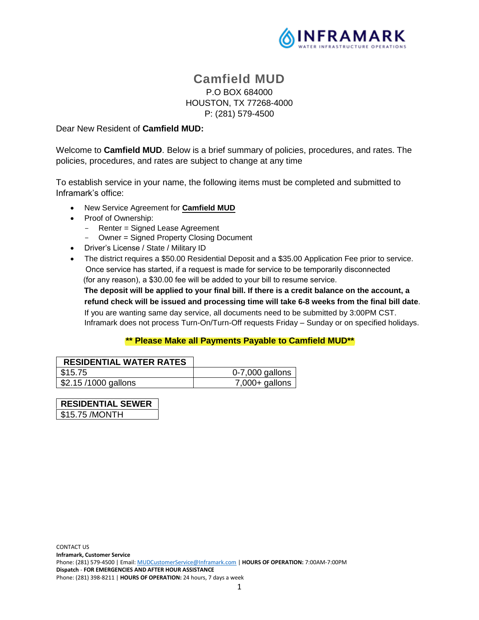

# **Camfield MUD** P.O BOX 684000 HOUSTON, TX 77268-4000 P: (281) 579-4500

Dear New Resident of **Camfield MUD:**

Welcome to **Camfield MUD**. Below is a brief summary of policies, procedures, and rates. The policies, procedures, and rates are subject to change at any time

To establish service in your name, the following items must be completed and submitted to Inframark's office:

- New Service Agreement for **Camfield MUD**
- Proof of Ownership:
	- Renter = Signed Lease Agreement
	- Owner = Signed Property Closing Document
- Driver's License / State / Military ID
- The district requires a \$50.00 Residential Deposit and a \$35.00 Application Fee prior to service. Once service has started, if a request is made for service to be temporarily disconnected (for any reason), a \$30.00 fee will be added to your bill to resume service.

 **The deposit will be applied to your final bill. If there is a credit balance on the account, a refund check will be issued and processing time will take 6-8 weeks from the final bill date**. If you are wanting same day service, all documents need to be submitted by 3:00PM CST. Inframark does not process Turn-On/Turn-Off requests Friday – Sunday or on specified holidays.

#### **\*\* Please Make all Payments Payable to Camfield MUD\*\***

| <b>RESIDENTIAL WATER RATES</b> |                   |
|--------------------------------|-------------------|
| S15.75                         | $0-7,000$ gallons |
| \$2.15 /1000 gallons           | $7,000+$ gallons  |

| <b>RESIDENTIAL SEWER</b> |
|--------------------------|
| \$15.75 / MONTH          |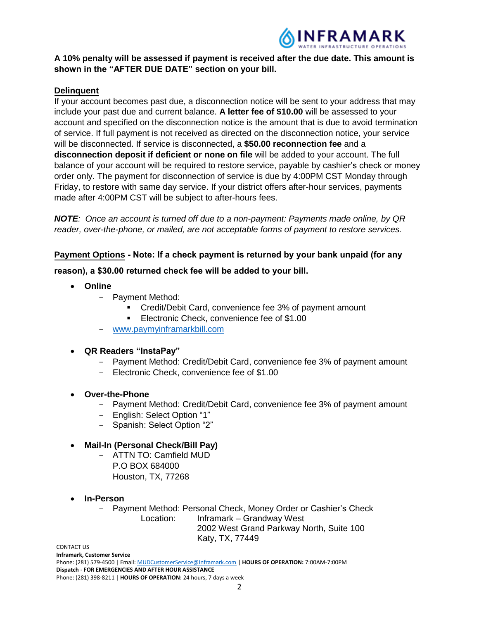

## **A 10% penalty will be assessed if payment is received after the due date. This amount is shown in the "AFTER DUE DATE" section on your bill.**

## **Delinquent**

If your account becomes past due, a disconnection notice will be sent to your address that may include your past due and current balance. **A letter fee of \$10.00** will be assessed to your account and specified on the disconnection notice is the amount that is due to avoid termination of service. If full payment is not received as directed on the disconnection notice, your service will be disconnected. If service is disconnected, a **\$50.00 reconnection fee** and a **disconnection deposit if deficient or none on file** will be added to your account. The full balance of your account will be required to restore service, payable by cashier's check or money order only. The payment for disconnection of service is due by 4:00PM CST Monday through Friday, to restore with same day service. If your district offers after-hour services, payments made after 4:00PM CST will be subject to after-hours fees.

*NOTE: Once an account is turned off due to a non-payment: Payments made online, by QR reader, over-the-phone, or mailed, are not acceptable forms of payment to restore services.*

## **Payment Options Note: If a check payment is returned by your bank unpaid (for any**

## **reason), a \$30.00 returned check fee will be added to your bill.**

- **Online**
	- Payment Method:
		- Credit/Debit Card, convenience fee 3% of payment amount
		- **Electronic Check, convenience fee of \$1.00**
	- www.paymyinframarkbill.com

## **QR Readers "InstaPay"**

- Payment Method: Credit/Debit Card, convenience fee 3% of payment amount
- Electronic Check, convenience fee of \$1.00

## **Over-the-Phone**

- Payment Method: Credit/Debit Card, convenience fee 3% of payment amount
- English: Select Option "1"
- Spanish: Select Option "2"

## **Mail-In (Personal Check/Bill Pay)**

- ATTN TO: Camfield MUD P.O BOX 684000 Houston, TX, 77268
- **In-Person**
	- Payment Method: Personal Check, Money Order or Cashier's Check Location: Inframark – Grandway West 2002 West Grand Parkway North, Suite 100 Katy, TX, 77449

CONTACT US

**Inframark, Customer Service** Phone: (281) 579-4500 | Email: MUDCustomerService@Inframark.com | **HOURS OF OPERATION:** 7:00AM-7:00PM **Dispatch** - **FOR EMERGENCIES AND AFTER HOUR ASSISTANCE** Phone: (281) 398-8211 | **HOURS OF OPERATION:** 24 hours, 7 days a week